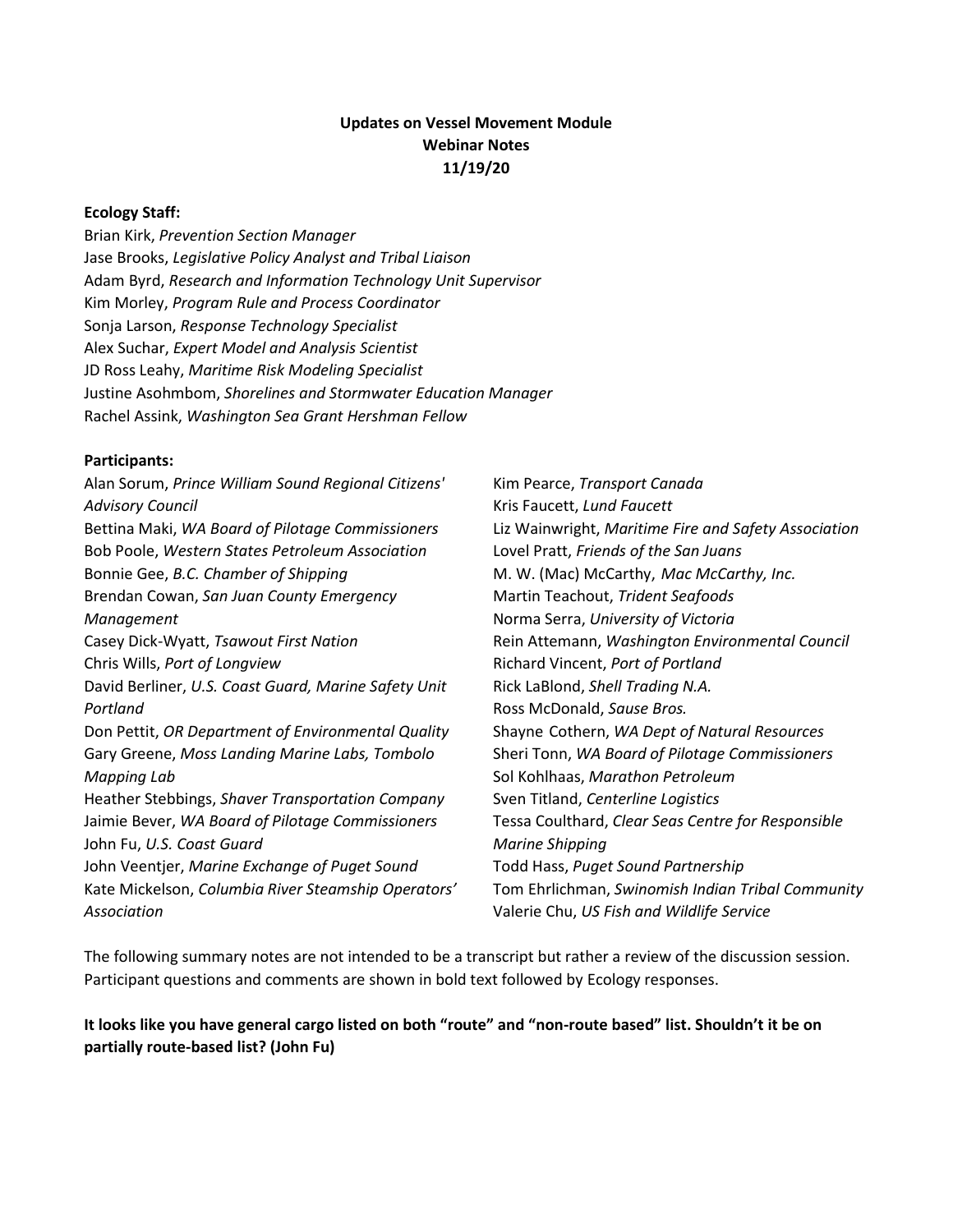## **Updates on Vessel Movement Module Webinar Notes 11/19/20**

#### **Ecology Staff:**

Brian Kirk, *Prevention Section Manager* Jase Brooks, *Legislative Policy Analyst and Tribal Liaison* Adam Byrd, *Research and Information Technology Unit Supervisor* Kim Morley, *Program Rule and Process Coordinator* Sonja Larson, *Response Technology Specialist* Alex Suchar, *Expert Model and Analysis Scientist* JD Ross Leahy, *Maritime Risk Modeling Specialist* Justine Asohmbom, *Shorelines and Stormwater Education Manager*  Rachel Assink, *Washington Sea Grant Hershman Fellow*

#### **Participants:**

Alan Sorum, *Prince William Sound Regional Citizens' Advisory Council* Bettina Maki, *WA Board of Pilotage Commissioners* Bob Poole, *Western States Petroleum Association* Bonnie Gee, *B.C. Chamber of Shipping* Brendan Cowan, *San Juan County Emergency Management* Casey Dick-Wyatt, *Tsawout First Nation* Chris Wills, *Port of Longview* David Berliner, *U.S. Coast Guard, Marine Safety Unit Portland* Don Pettit, *OR Department of Environmental Quality* Gary Greene, *Moss Landing Marine Labs, Tombolo Mapping Lab* Heather Stebbings, *Shaver Transportation Company* Jaimie Bever, *WA Board of Pilotage Commissioners* John Fu, *U.S. Coast Guard* John Veentjer, *Marine Exchange of Puget Sound* Kate Mickelson, *Columbia River Steamship Operators' Association*

Kim Pearce, *Transport Canada* Kris Faucett, *Lund Faucett* Liz Wainwright, *Maritime Fire and Safety Association* Lovel Pratt, *Friends of the San Juans* M. W. (Mac) McCarthy, *Mac McCarthy, Inc.* Martin Teachout, *Trident Seafoods* Norma Serra, *University of Victoria* Rein Attemann, *Washington Environmental Council* Richard Vincent, *Port of Portland* Rick LaBlond, *Shell Trading N.A.* Ross McDonald, *Sause Bros.* Shayne Cothern, *WA Dept of Natural Resources* Sheri Tonn, *WA Board of Pilotage Commissioners* Sol Kohlhaas, *Marathon Petroleum* Sven Titland, *Centerline Logistics* Tessa Coulthard, *Clear Seas Centre for Responsible Marine Shipping* Todd Hass, *Puget Sound Partnership* Tom Ehrlichman, *Swinomish Indian Tribal Community* Valerie Chu, *US Fish and Wildlife Service*

The following summary notes are not intended to be a transcript but rather a review of the discussion session. Participant questions and comments are shown in bold text followed by Ecology responses.

#### **It looks like you have general cargo listed on both "route" and "non-route based" list. Shouldn't it be on partially route-based list? (John Fu)**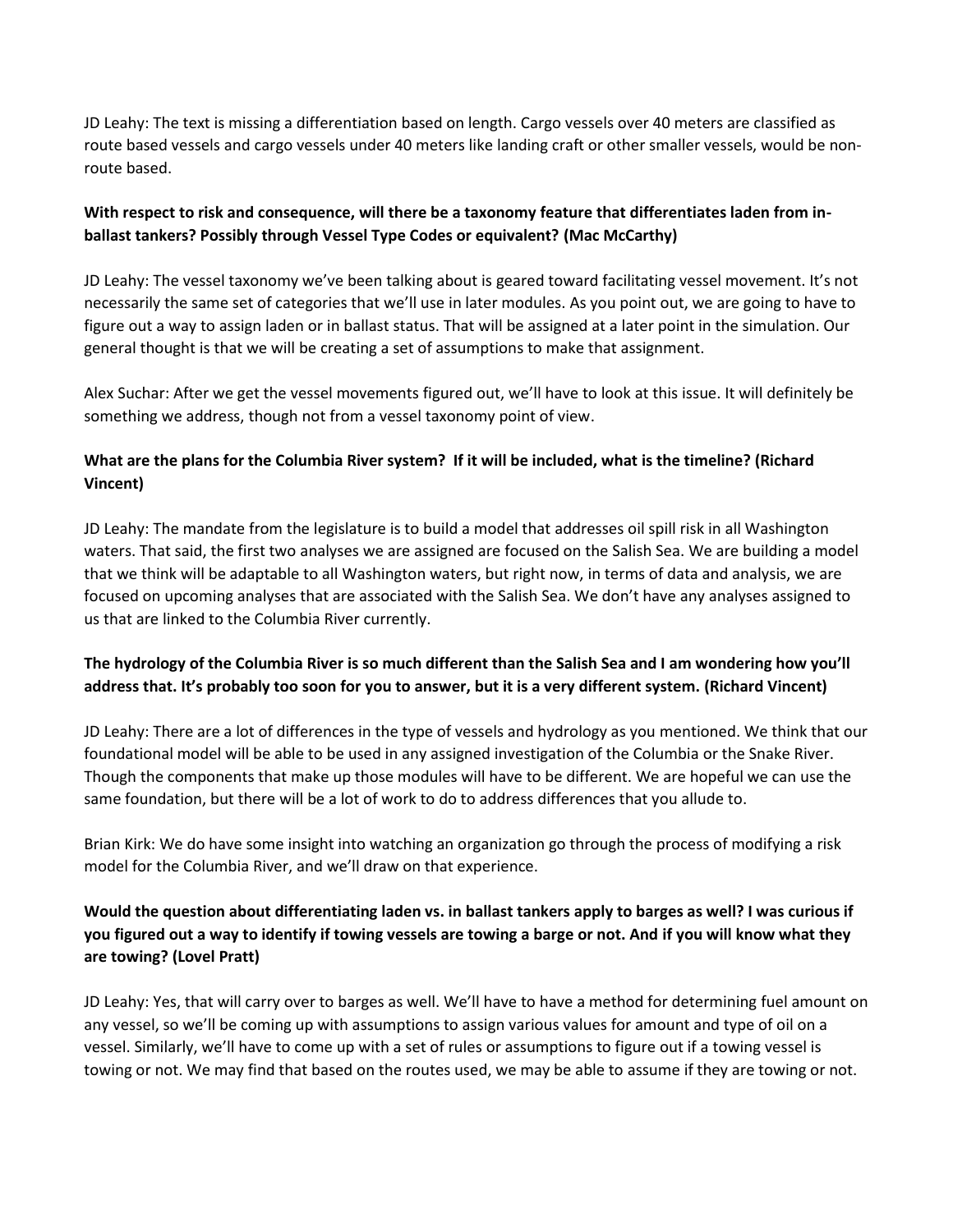JD Leahy: The text is missing a differentiation based on length. Cargo vessels over 40 meters are classified as route based vessels and cargo vessels under 40 meters like landing craft or other smaller vessels, would be nonroute based.

## **With respect to risk and consequence, will there be a taxonomy feature that differentiates laden from inballast tankers? Possibly through Vessel Type Codes or equivalent? (Mac McCarthy)**

JD Leahy: The vessel taxonomy we've been talking about is geared toward facilitating vessel movement. It's not necessarily the same set of categories that we'll use in later modules. As you point out, we are going to have to figure out a way to assign laden or in ballast status. That will be assigned at a later point in the simulation. Our general thought is that we will be creating a set of assumptions to make that assignment.

Alex Suchar: After we get the vessel movements figured out, we'll have to look at this issue. It will definitely be something we address, though not from a vessel taxonomy point of view.

## **What are the plans for the Columbia River system? If it will be included, what is the timeline? (Richard Vincent)**

JD Leahy: The mandate from the legislature is to build a model that addresses oil spill risk in all Washington waters. That said, the first two analyses we are assigned are focused on the Salish Sea. We are building a model that we think will be adaptable to all Washington waters, but right now, in terms of data and analysis, we are focused on upcoming analyses that are associated with the Salish Sea. We don't have any analyses assigned to us that are linked to the Columbia River currently.

## **The hydrology of the Columbia River is so much different than the Salish Sea and I am wondering how you'll address that. It's probably too soon for you to answer, but it is a very different system. (Richard Vincent)**

JD Leahy: There are a lot of differences in the type of vessels and hydrology as you mentioned. We think that our foundational model will be able to be used in any assigned investigation of the Columbia or the Snake River. Though the components that make up those modules will have to be different. We are hopeful we can use the same foundation, but there will be a lot of work to do to address differences that you allude to.

Brian Kirk: We do have some insight into watching an organization go through the process of modifying a risk model for the Columbia River, and we'll draw on that experience.

# **Would the question about differentiating laden vs. in ballast tankers apply to barges as well? I was curious if you figured out a way to identify if towing vessels are towing a barge or not. And if you will know what they are towing? (Lovel Pratt)**

JD Leahy: Yes, that will carry over to barges as well. We'll have to have a method for determining fuel amount on any vessel, so we'll be coming up with assumptions to assign various values for amount and type of oil on a vessel. Similarly, we'll have to come up with a set of rules or assumptions to figure out if a towing vessel is towing or not. We may find that based on the routes used, we may be able to assume if they are towing or not.